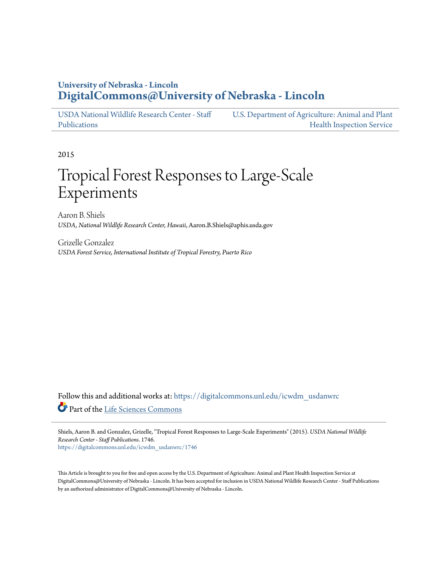## **University of Nebraska - Lincoln [DigitalCommons@University of Nebraska - Lincoln](https://digitalcommons.unl.edu?utm_source=digitalcommons.unl.edu%2Ficwdm_usdanwrc%2F1746&utm_medium=PDF&utm_campaign=PDFCoverPages)**

[USDA National Wildlife Research Center - Staff](https://digitalcommons.unl.edu/icwdm_usdanwrc?utm_source=digitalcommons.unl.edu%2Ficwdm_usdanwrc%2F1746&utm_medium=PDF&utm_campaign=PDFCoverPages) [Publications](https://digitalcommons.unl.edu/icwdm_usdanwrc?utm_source=digitalcommons.unl.edu%2Ficwdm_usdanwrc%2F1746&utm_medium=PDF&utm_campaign=PDFCoverPages) [U.S. Department of Agriculture: Animal and Plant](https://digitalcommons.unl.edu/usdaaphis?utm_source=digitalcommons.unl.edu%2Ficwdm_usdanwrc%2F1746&utm_medium=PDF&utm_campaign=PDFCoverPages) [Health Inspection Service](https://digitalcommons.unl.edu/usdaaphis?utm_source=digitalcommons.unl.edu%2Ficwdm_usdanwrc%2F1746&utm_medium=PDF&utm_campaign=PDFCoverPages)

2015

# Tropical Forest Responses to Large-Scale Experiments

Aaron B. Shiels *USDA, National Wildlife Research Center, Hawaii*, Aaron.B.Shiels@aphis.usda.gov

Grizelle Gonzalez *USDA Forest Service, International Institute of Tropical Forestry, Puerto Rico*

Follow this and additional works at: [https://digitalcommons.unl.edu/icwdm\\_usdanwrc](https://digitalcommons.unl.edu/icwdm_usdanwrc?utm_source=digitalcommons.unl.edu%2Ficwdm_usdanwrc%2F1746&utm_medium=PDF&utm_campaign=PDFCoverPages) Part of the [Life Sciences Commons](http://network.bepress.com/hgg/discipline/1016?utm_source=digitalcommons.unl.edu%2Ficwdm_usdanwrc%2F1746&utm_medium=PDF&utm_campaign=PDFCoverPages)

Shiels, Aaron B. and Gonzalez, Grizelle, "Tropical Forest Responses to Large-Scale Experiments" (2015). *USDA National Wildlife Research Center - Staff Publications*. 1746. [https://digitalcommons.unl.edu/icwdm\\_usdanwrc/1746](https://digitalcommons.unl.edu/icwdm_usdanwrc/1746?utm_source=digitalcommons.unl.edu%2Ficwdm_usdanwrc%2F1746&utm_medium=PDF&utm_campaign=PDFCoverPages)

This Article is brought to you for free and open access by the U.S. Department of Agriculture: Animal and Plant Health Inspection Service at DigitalCommons@University of Nebraska - Lincoln. It has been accepted for inclusion in USDA National Wildlife Research Center - Staff Publications by an authorized administrator of DigitalCommons@University of Nebraska - Lincoln.